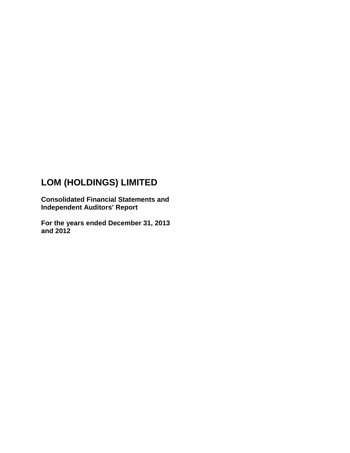# **LOM (HOLDINGS) LIMITED**

**Consolidated Financial Statements and Independent Auditors' Report**

**For the years ended December 31, 2013 and 2012**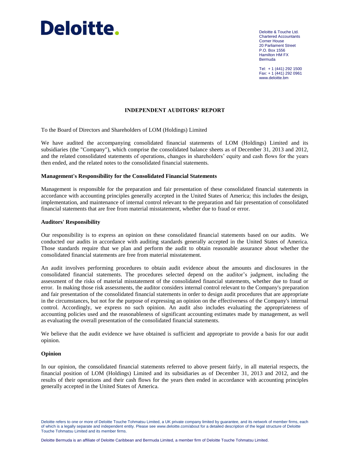# Deloitte.

Deloitte & Touche Ltd. Chartered Accountants Corner House 20 Parliament Street P.O. Box 1556 Hamilton HM FX Bermuda

Tel: + 1 (441) 292 1500 Fax: + 1 (441) 292 0961 www.deloitte.bm

#### **INDEPENDENT AUDITORS' REPORT**

To the Board of Directors and Shareholders of LOM (Holdings) Limited

We have audited the accompanying consolidated financial statements of LOM (Holdings) Limited and its subsidiaries (the "Company"), which comprise the consolidated balance sheets as of December 31, 2013 and 2012, and the related consolidated statements of operations, changes in shareholders' equity and cash flows for the years then ended, and the related notes to the consolidated financial statements.

#### **Management's Responsibility for the Consolidated Financial Statements**

Management is responsible for the preparation and fair presentation of these consolidated financial statements in accordance with accounting principles generally accepted in the United States of America; this includes the design, implementation, and maintenance of internal control relevant to the preparation and fair presentation of consolidated financial statements that are free from material misstatement, whether due to fraud or error.

#### **Auditors' Responsibility**

Our responsibility is to express an opinion on these consolidated financial statements based on our audits. We conducted our audits in accordance with auditing standards generally accepted in the United States of America. Those standards require that we plan and perform the audit to obtain reasonable assurance about whether the consolidated financial statements are free from material misstatement.

An audit involves performing procedures to obtain audit evidence about the amounts and disclosures in the consolidated financial statements. The procedures selected depend on the auditor's judgment, including the assessment of the risks of material misstatement of the consolidated financial statements, whether due to fraud or error. In making those risk assessments, the auditor considers internal control relevant to the Company's preparation and fair presentation of the consolidated financial statements in order to design audit procedures that are appropriate in the circumstances, but not for the purpose of expressing an opinion on the effectiveness of the Company's internal control. Accordingly, we express no such opinion. An audit also includes evaluating the appropriateness of accounting policies used and the reasonableness of significant accounting estimates made by management, as well as evaluating the overall presentation of the consolidated financial statements.

We believe that the audit evidence we have obtained is sufficient and appropriate to provide a basis for our audit opinion.

#### **Opinion**

In our opinion, the consolidated financial statements referred to above present fairly, in all material respects, the financial position of LOM (Holdings) Limited and its subsidiaries as of December 31, 2013 and 2012, and the results of their operations and their cash flows for the years then ended in accordance with accounting principles generally accepted in the United States of America.

Deloitte refers to one or more of Deloitte Touche Tohmatsu Limited, a UK private company limited by guarantee, and its network of member firms, each of which is a legally separate and independent entity. Please see www.deloitte.com/about for a detailed description of the legal structure of Deloitte Touche Tohmatsu Limited and its member firms.

Deloitte Bermuda is an affiliate of Deloitte Caribbean and Bermuda Limited, a member firm of Deloitte Touche Tohmatsu Limited.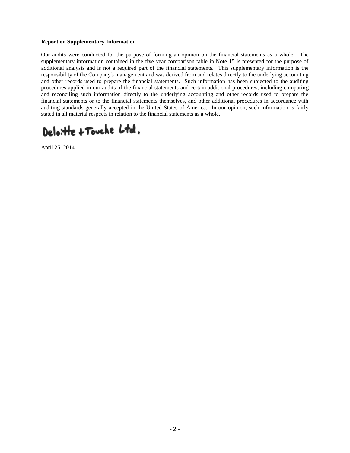#### **Report on Supplementary Information**

Our audits were conducted for the purpose of forming an opinion on the financial statements as a whole. The supplementary information contained in the five year comparison table in Note 15 is presented for the purpose of additional analysis and is not a required part of the financial statements. This supplementary information is the responsibility of the Company's management and was derived from and relates directly to the underlying accounting and other records used to prepare the financial statements. Such information has been subjected to the auditing procedures applied in our audits of the financial statements and certain additional procedures, including comparing and reconciling such information directly to the underlying accounting and other records used to prepare the financial statements or to the financial statements themselves, and other additional procedures in accordance with auditing standards generally accepted in the United States of America. In our opinion, such information is fairly stated in all material respects in relation to the financial statements as a whole.

Deloitte + Touche Ltd.

April 25, 2014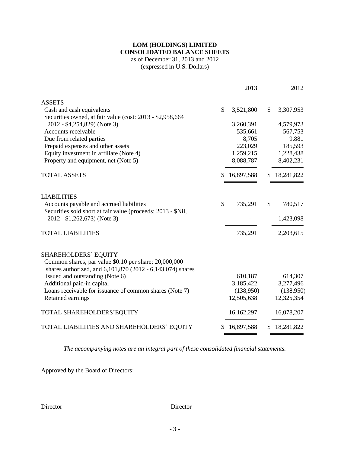#### **LOM (HOLDINGS) LIMITED CONSOLIDATED BALANCE SHEETS** as of December 31, 2013 and 2012

(expressed in U.S. Dollars)

|                                                              | 2013            |    | 2012       |
|--------------------------------------------------------------|-----------------|----|------------|
| <b>ASSETS</b>                                                |                 |    |            |
| Cash and cash equivalents                                    | \$<br>3,521,800 | \$ | 3,307,953  |
| Securities owned, at fair value (cost: 2013 - \$2,958,664    |                 |    |            |
| 2012 - \$4,254,829) (Note 3)                                 | 3,260,391       |    | 4,579,973  |
| Accounts receivable                                          | 535,661         |    | 567,753    |
| Due from related parties                                     | 8,705           |    | 9,881      |
| Prepaid expenses and other assets                            | 223,029         |    | 185,593    |
| Equity investment in affiliate (Note 4)                      | 1,259,215       |    | 1,228,438  |
| Property and equipment, net (Note 5)                         | 8,088,787       |    | 8,402,231  |
| <b>TOTAL ASSETS</b>                                          | 16,897,588      | \$ | 18,281,822 |
| <b>LIABILITIES</b>                                           |                 |    |            |
| Accounts payable and accrued liabilities                     | \$<br>735,291   | \$ | 780,517    |
| Securities sold short at fair value (proceeds: 2013 - \$Nil, |                 |    |            |
| 2012 - \$1,262,673) (Note 3)                                 |                 |    | 1,423,098  |
| <b>TOTAL LIABILITIES</b>                                     | 735,291         |    | 2,203,615  |
| <b>SHAREHOLDERS' EQUITY</b>                                  |                 |    |            |
| Common shares, par value \$0.10 per share; 20,000,000        |                 |    |            |
| shares authorized, and 6,101,870 (2012 - 6,143,074) shares   |                 |    |            |
| issued and outstanding (Note 6)                              | 610,187         |    | 614,307    |
| Additional paid-in capital                                   | 3,185,422       |    | 3,277,496  |
| Loans receivable for issuance of common shares (Note 7)      | (138,950)       |    | (138,950)  |
| Retained earnings                                            | 12,505,638      |    | 12,325,354 |
| TOTAL SHAREHOLDERS'EQUITY                                    | 16,162,297      |    | 16,078,207 |
| TOTAL LIABILITIES AND SHAREHOLDERS' EQUITY                   | 16,897,588      | S. | 18,281,822 |
|                                                              |                 |    |            |

*The accompanying notes are an integral part of these consolidated financial statements.*

Approved by the Board of Directors:

\_\_\_\_\_\_\_\_\_\_\_\_\_\_\_\_\_\_\_\_\_\_\_\_\_\_\_\_\_\_\_\_ \_\_\_\_\_\_\_\_\_\_\_\_\_\_\_\_\_\_\_\_\_\_\_\_\_\_\_\_\_\_\_\_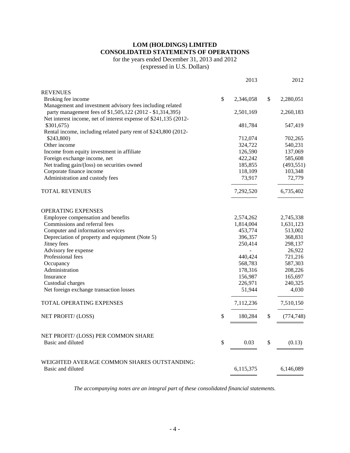## **LOM (HOLDINGS) LIMITED CONSOLIDATED STATEMENTS OF OPERATIONS**

for the years ended December 31, 2013 and 2012

(expressed in U.S. Dollars)

|                                                                  |               | 2013      | 2012             |
|------------------------------------------------------------------|---------------|-----------|------------------|
| <b>REVENUES</b>                                                  |               |           |                  |
| Broking fee income                                               | $\mathcal{S}$ | 2,346,058 | \$<br>2,280,051  |
| Management and investment advisory fees including related        |               |           |                  |
| party management fees of \$1,505,122 (2012 - \$1,314,395)        |               | 2,501,169 | 2,260,183        |
| Net interest income, net of interest expense of \$241,135 (2012- |               |           |                  |
| \$301,675)                                                       |               | 481,784   | 547,419          |
| Rental income, including related party rent of \$243,800 (2012-  |               |           |                  |
| \$243,800)                                                       |               | 712,074   | 702,265          |
| Other income                                                     |               | 324,722   | 540,231          |
| Income from equity investment in affiliate                       |               | 126,590   | 137,069          |
| Foreign exchange income, net                                     |               | 422,242   | 585,608          |
| Net trading gain/(loss) on securities owned                      |               | 185,855   | (493, 551)       |
| Corporate finance income                                         |               | 118,109   | 103,348          |
| Administration and custody fees                                  |               | 73,917    | 72,779           |
| <b>TOTAL REVENUES</b>                                            |               | 7,292,520 | 6,735,402        |
| <b>OPERATING EXPENSES</b>                                        |               |           |                  |
| Employee compensation and benefits                               |               | 2,574,262 | 2,745,338        |
| Commissions and referral fees                                    |               | 1,814,004 | 1,631,123        |
| Computer and information services                                |               | 453,774   | 513,002          |
| Depreciation of property and equipment (Note 5)                  |               | 396,357   | 368,831          |
| Jitney fees                                                      |               | 250,414   | 298,137          |
| Advisory fee expense                                             |               |           | 26,922           |
| Professional fees                                                |               | 440,424   | 721,216          |
| Occupancy                                                        |               | 568,783   | 587,303          |
| Administration                                                   |               | 178,316   | 208,226          |
| Insurance                                                        |               | 156,987   | 165,697          |
| Custodial charges                                                |               | 226,971   | 240,325          |
| Net foreign exchange transaction losses                          |               | 51,944    | 4,030            |
| <b>TOTAL OPERATING EXPENSES</b>                                  |               | 7,112,236 | 7,510,150        |
| NET PROFIT/(LOSS)                                                | \$            | 180,284   | \$<br>(774, 748) |
|                                                                  |               |           |                  |
| NET PROFIT/ (LOSS) PER COMMON SHARE<br>Basic and diluted         | \$            | 0.03      | \$<br>(0.13)     |
|                                                                  |               |           |                  |
| WEIGHTED AVERAGE COMMON SHARES OUTSTANDING:                      |               |           |                  |
| Basic and diluted                                                |               | 6,115,375 | 6,146,089        |

*The accompanying notes are an integral part of these consolidated financial statements.*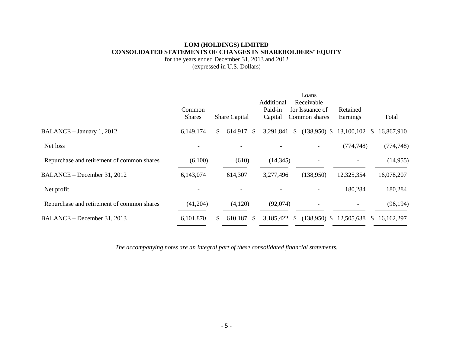## **LOM (HOLDINGS) LIMITED CONSOLIDATED STATEMENTS OF CHANGES IN SHAREHOLDERS' EQUITY**

for the years ended December 31, 2013 and 2012 (expressed in U.S. Dollars)

|                                            |                         |              |                      |              | Additional         |               | Loans<br>Receivable              |                      |              |            |
|--------------------------------------------|-------------------------|--------------|----------------------|--------------|--------------------|---------------|----------------------------------|----------------------|--------------|------------|
|                                            | Common<br><b>Shares</b> |              | <b>Share Capital</b> |              | Paid-in<br>Capital |               | for Issuance of<br>Common shares | Retained<br>Earnings |              | Total      |
| BALANCE - January 1, 2012                  | 6,149,174               | <sup>S</sup> | 614,917              | <sup>S</sup> | 3,291,841          | <sup>S</sup>  | $(138,950)$ \$                   | $13,100,102$ \$      |              | 16,867,910 |
| Net loss                                   |                         |              |                      |              |                    |               |                                  | (774, 748)           |              | (774, 748) |
| Repurchase and retirement of common shares | (6,100)                 |              | (610)                |              | (14, 345)          |               |                                  |                      |              | (14, 955)  |
| BALANCE - December 31, 2012                | 6,143,074               |              | 614,307              |              | 3,277,496          |               | (138,950)                        | 12,325,354           |              | 16,078,207 |
| Net profit                                 |                         |              |                      |              |                    |               |                                  | 180,284              |              | 180,284    |
| Repurchase and retirement of common shares | (41,204)                |              | (4,120)              |              | (92,074)           |               |                                  |                      |              | (96, 194)  |
| BALANCE - December 31, 2013                | 6,101,870               | \$           | 610,187 \$           |              | 3,185,422          | <sup>\$</sup> | $(138,950)$ \$ 12,505,638        |                      | <sup>S</sup> | 16.162.297 |

*The accompanying notes are an integral part of these consolidated financial statements.*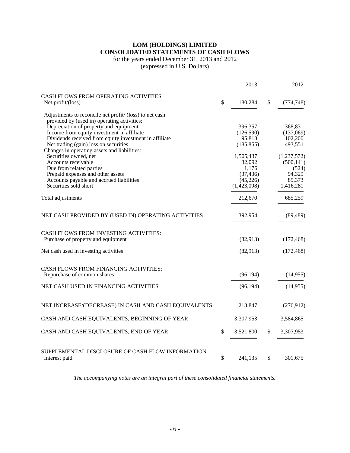## **LOM (HOLDINGS) LIMITED CONSOLIDATED STATEMENTS OF CASH FLOWS**

#### for the years ended December 31, 2013 and 2012

(expressed in U.S. Dollars)

|                                                                                                        | 2013                 | 2012                 |
|--------------------------------------------------------------------------------------------------------|----------------------|----------------------|
| CASH FLOWS FROM OPERATING ACTIVITIES<br>Net profit/(loss)                                              | \$<br>180,284        | \$<br>(774, 748)     |
| Adjustments to reconcile net profit/ (loss) to net cash<br>provided by (used in) operating activities: |                      |                      |
| Depreciation of property and equipment<br>Income from equity investment in affiliate                   | 396,357<br>(126,590) | 368,831              |
| Dividends received from equity investment in affiliate                                                 | 95,813               | (137,069)<br>102,200 |
| Net trading (gain) loss on securities                                                                  | (185, 855)           | 493,551              |
| Changes in operating assets and liabilities:                                                           |                      |                      |
| Securities owned, net<br>Accounts receivable                                                           | 1,505,437            | (1,237,572)          |
| Due from related parties                                                                               | 32,092<br>1,176      | (500, 141)           |
| Prepaid expenses and other assets                                                                      | (37, 436)            | (524)<br>94,329      |
| Accounts payable and accrued liabilities                                                               | (45,226)             | 85,373               |
| Securities sold short                                                                                  | (1,423,098)          | 1,416,281            |
|                                                                                                        |                      |                      |
| Total adjustments                                                                                      | 212,670              | 685,259              |
| NET CASH PROVIDED BY (USED IN) OPERATING ACTIVITIES                                                    | 392,954              | (89, 489)            |
| CASH FLOWS FROM INVESTING ACTIVITIES:                                                                  |                      |                      |
| Purchase of property and equipment                                                                     | (82,913)             | (172, 468)           |
| Net cash used in investing activities                                                                  | (82, 913)            | (172, 468)           |
| <b>CASH FLOWS FROM FINANCING ACTIVITIES:</b>                                                           |                      |                      |
| Repurchase of common shares                                                                            | (96, 194)            | (14, 955)            |
| NET CASH USED IN FINANCING ACTIVITIES                                                                  | (96, 194)            | (14, 955)            |
| NET INCREASE/(DECREASE) IN CASH AND CASH EQUIVALENTS                                                   | 213,847              | (276,912)            |
| CASH AND CASH EQUIVALENTS, BEGINNING OF YEAR                                                           | 3,307,953            | 3,584,865            |
| CASH AND CASH EQUIVALENTS, END OF YEAR                                                                 | \$<br>3,521,800      | \$<br>3,307,953      |
| SUPPLEMENTAL DISCLOSURE OF CASH FLOW INFORMATION                                                       |                      |                      |
| Interest paid                                                                                          | \$<br>241,135        | \$<br>301,675        |

*The accompanying notes are an integral part of these consolidated financial statements.*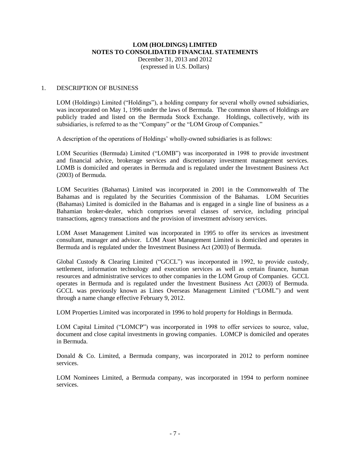December 31, 2013 and 2012 (expressed in U.S. Dollars)

#### 1. DESCRIPTION OF BUSINESS

LOM (Holdings) Limited ("Holdings"), a holding company for several wholly owned subsidiaries, was incorporated on May 1, 1996 under the laws of Bermuda. The common shares of Holdings are publicly traded and listed on the Bermuda Stock Exchange. Holdings, collectively, with its subsidiaries, is referred to as the "Company" or the "LOM Group of Companies."

A description of the operations of Holdings' wholly-owned subsidiaries is as follows:

LOM Securities (Bermuda) Limited ("LOMB") was incorporated in 1998 to provide investment and financial advice, brokerage services and discretionary investment management services. LOMB is domiciled and operates in Bermuda and is regulated under the Investment Business Act (2003) of Bermuda.

LOM Securities (Bahamas) Limited was incorporated in 2001 in the Commonwealth of The Bahamas and is regulated by the Securities Commission of the Bahamas. LOM Securities (Bahamas) Limited is domiciled in the Bahamas and is engaged in a single line of business as a Bahamian broker-dealer, which comprises several classes of service, including principal transactions, agency transactions and the provision of investment advisory services.

LOM Asset Management Limited was incorporated in 1995 to offer its services as investment consultant, manager and advisor. LOM Asset Management Limited is domiciled and operates in Bermuda and is regulated under the Investment Business Act (2003) of Bermuda.

Global Custody & Clearing Limited ("GCCL") was incorporated in 1992, to provide custody, settlement, information technology and execution services as well as certain finance, human resources and administrative services to other companies in the LOM Group of Companies. GCCL operates in Bermuda and is regulated under the Investment Business Act (2003) of Bermuda. GCCL was previously known as Lines Overseas Management Limited ("LOML") and went through a name change effective February 9, 2012.

LOM Properties Limited was incorporated in 1996 to hold property for Holdings in Bermuda.

LOM Capital Limited ("LOMCP") was incorporated in 1998 to offer services to source, value, document and close capital investments in growing companies. LOMCP is domiciled and operates in Bermuda.

Donald  $& Co.$  Limited, a Bermuda company, was incorporated in 2012 to perform nominee services.

LOM Nominees Limited, a Bermuda company, was incorporated in 1994 to perform nominee services.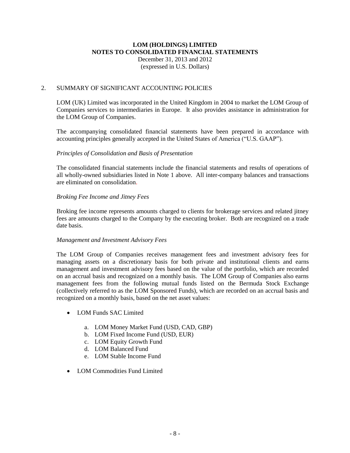(expressed in U.S. Dollars)

#### 2. SUMMARY OF SIGNIFICANT ACCOUNTING POLICIES

LOM (UK) Limited was incorporated in the United Kingdom in 2004 to market the LOM Group of Companies services to intermediaries in Europe. It also provides assistance in administration for the LOM Group of Companies.

The accompanying consolidated financial statements have been prepared in accordance with accounting principles generally accepted in the United States of America ("U.S. GAAP").

#### *Principles of Consolidation and Basis of Presentation*

The consolidated financial statements include the financial statements and results of operations of all wholly-owned subsidiaries listed in Note 1 above. All inter-company balances and transactions are eliminated on consolidation.

#### *Broking Fee Income and Jitney Fees*

Broking fee income represents amounts charged to clients for brokerage services and related jitney fees are amounts charged to the Company by the executing broker. Both are recognized on a trade date basis.

#### *Management and Investment Advisory Fees*

The LOM Group of Companies receives management fees and investment advisory fees for managing assets on a discretionary basis for both private and institutional clients and earns management and investment advisory fees based on the value of the portfolio, which are recorded on an accrual basis and recognized on a monthly basis. The LOM Group of Companies also earns management fees from the following mutual funds listed on the Bermuda Stock Exchange (collectively referred to as the LOM Sponsored Funds), which are recorded on an accrual basis and recognized on a monthly basis, based on the net asset values:

- LOM Funds SAC Limited
	- a. LOM Money Market Fund (USD, CAD, GBP)
	- b. LOM Fixed Income Fund (USD, EUR)
	- c. LOM Equity Growth Fund
	- d. LOM Balanced Fund
	- e. LOM Stable Income Fund
- LOM Commodities Fund Limited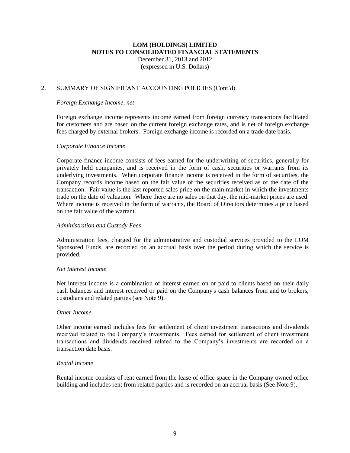(expressed in U.S. Dollars)

#### 2. SUMMARY OF SIGNIFICANT ACCOUNTING POLICIES (Cont'd)

#### *Foreign Exchange Income, net*

Foreign exchange income represents income earned from foreign currency transactions facilitated for customers and are based on the current foreign exchange rates, and is net of foreign exchange fees charged by external brokers. Foreign exchange income is recorded on a trade date basis.

#### *Corporate Finance Income*

Corporate finance income consists of fees earned for the underwriting of securities, generally for privately held companies, and is received in the form of cash, securities or warrants from its underlying investments. When corporate finance income is received in the form of securities, the Company records income based on the fair value of the securities received as of the date of the transaction. Fair value is the last reported sales price on the main market in which the investments trade on the date of valuation. Where there are no sales on that day, the mid-market prices are used. Where income is received in the form of warrants, the Board of Directors determines a price based on the fair value of the warrant.

#### *Administration and Custody Fees*

Administration fees, charged for the administrative and custodial services provided to the LOM Sponsored Funds, are recorded on an accrual basis over the period during which the service is provided.

#### *Net Interest Income*

Net interest income is a combination of interest earned on or paid to clients based on their daily cash balances and interest received or paid on the Company's cash balances from and to brokers, custodians and related parties (see Note 9).

#### *Other Income*

Other income earned includes fees for settlement of client investment transactions and dividends received related to the Company's investments. Fees earned for settlement of client investment transactions and dividends received related to the Company's investments are recorded on a transaction date basis.

#### *Rental Income*

Rental income consists of rent earned from the lease of office space in the Company owned office building and includes rent from related parties and is recorded on an accrual basis (See Note 9).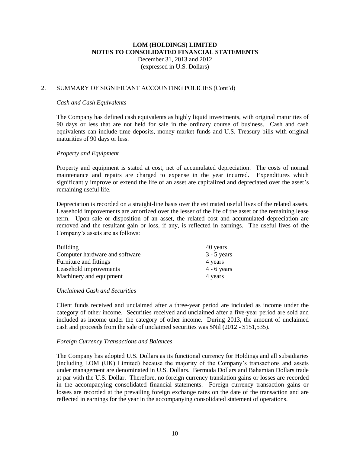(expressed in U.S. Dollars)

#### 2. SUMMARY OF SIGNIFICANT ACCOUNTING POLICIES (Cont'd)

#### *Cash and Cash Equivalents*

The Company has defined cash equivalents as highly liquid investments, with original maturities of 90 days or less that are not held for sale in the ordinary course of business. Cash and cash equivalents can include time deposits, money market funds and U.S. Treasury bills with original maturities of 90 days or less.

#### *Property and Equipment*

Property and equipment is stated at cost, net of accumulated depreciation. The costs of normal maintenance and repairs are charged to expense in the year incurred. Expenditures which significantly improve or extend the life of an asset are capitalized and depreciated over the asset's remaining useful life.

Depreciation is recorded on a straight-line basis over the estimated useful lives of the related assets. Leasehold improvements are amortized over the lesser of the life of the asset or the remaining lease term. Upon sale or disposition of an asset, the related cost and accumulated depreciation are removed and the resultant gain or loss, if any, is reflected in earnings. The useful lives of the Company's assets are as follows:

| Building                       | 40 years      |
|--------------------------------|---------------|
| Computer hardware and software | $3 - 5$ years |
| Furniture and fittings         | 4 years       |
| Leasehold improvements         | $4 - 6$ years |
| Machinery and equipment        | 4 years       |

#### *Unclaimed Cash and Securities*

Client funds received and unclaimed after a three-year period are included as income under the category of other income. Securities received and unclaimed after a five-year period are sold and included as income under the category of other income. During 2013, the amount of unclaimed cash and proceeds from the sale of unclaimed securities was \$Nil (2012 - \$151,535).

#### *Foreign Currency Transactions and Balances*

The Company has adopted U.S. Dollars as its functional currency for Holdings and all subsidiaries (including LOM (UK) Limited) because the majority of the Company's transactions and assets under management are denominated in U.S. Dollars. Bermuda Dollars and Bahamian Dollars trade at par with the U.S. Dollar. Therefore, no foreign currency translation gains or losses are recorded in the accompanying consolidated financial statements. Foreign currency transaction gains or losses are recorded at the prevailing foreign exchange rates on the date of the transaction and are reflected in earnings for the year in the accompanying consolidated statement of operations.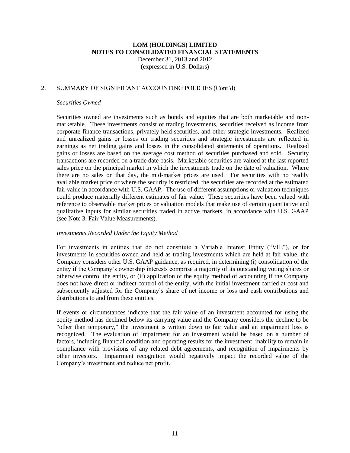December 31, 2013 and 2012 (expressed in U.S. Dollars)

#### 2. SUMMARY OF SIGNIFICANT ACCOUNTING POLICIES (Cont'd)

#### *Securities Owned*

Securities owned are investments such as bonds and equities that are both marketable and nonmarketable. These investments consist of trading investments, securities received as income from corporate finance transactions, privately held securities, and other strategic investments. Realized and unrealized gains or losses on trading securities and strategic investments are reflected in earnings as net trading gains and losses in the consolidated statements of operations. Realized gains or losses are based on the average cost method of securities purchased and sold. Security transactions are recorded on a trade date basis. Marketable securities are valued at the last reported sales price on the principal market in which the investments trade on the date of valuation. Where there are no sales on that day, the mid-market prices are used. For securities with no readily available market price or where the security is restricted, the securities are recorded at the estimated fair value in accordance with U.S. GAAP. The use of different assumptions or valuation techniques could produce materially different estimates of fair value. These securities have been valued with reference to observable market prices or valuation models that make use of certain quantitative and qualitative inputs for similar securities traded in active markets, in accordance with U.S. GAAP (see Note 3, Fair Value Measurements).

#### *Investments Recorded Under the Equity Method*

For investments in entities that do not constitute a Variable Interest Entity ("VIE"), or for investments in securities owned and held as trading investments which are held at fair value, the Company considers other U.S. GAAP guidance, as required, in determining (i) consolidation of the entity if the Company's ownership interests comprise a majority of its outstanding voting shares or otherwise control the entity, or (ii) application of the equity method of accounting if the Company does not have direct or indirect control of the entity, with the initial investment carried at cost and subsequently adjusted for the Company's share of net income or loss and cash contributions and distributions to and from these entities.

If events or circumstances indicate that the fair value of an investment accounted for using the equity method has declined below its carrying value and the Company considers the decline to be "other than temporary," the investment is written down to fair value and an impairment loss is recognized. The evaluation of impairment for an investment would be based on a number of factors, including financial condition and operating results for the investment, inability to remain in compliance with provisions of any related debt agreements, and recognition of impairments by other investors. Impairment recognition would negatively impact the recorded value of the Company's investment and reduce net profit.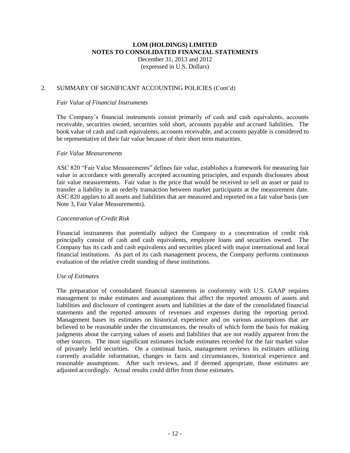(expressed in U.S. Dollars)

#### 2. SUMMARY OF SIGNIFICANT ACCOUNTING POLICIES (Cont'd)

#### *Fair Value of Financial Instruments*

The Company's financial instruments consist primarily of cash and cash equivalents, accounts receivable, securities owned, securities sold short, accounts payable and accrued liabilities. The book value of cash and cash equivalents, accounts receivable, and accounts payable is considered to be representative of their fair value because of their short term maturities.

#### *Fair Value Measurements*

ASC 820 "Fair Value Measurements" defines fair value, establishes a framework for measuring fair value in accordance with generally accepted accounting principles, and expands disclosures about fair value measurements. Fair value is the price that would be received to sell an asset or paid to transfer a liability in an orderly transaction between market participants at the measurement date. ASC 820 applies to all assets and liabilities that are measured and reported on a fair value basis (see Note 3, Fair Value Measurements).

#### *Concentration of Credit Risk*

Financial instruments that potentially subject the Company to a concentration of credit risk principally consist of cash and cash equivalents, employee loans and securities owned. The Company has its cash and cash equivalents and securities placed with major international and local financial institutions. As part of its cash management process, the Company performs continuous evaluation of the relative credit standing of these institutions.

#### *Use of Estimates*

The preparation of consolidated financial statements in conformity with U.S. GAAP requires management to make estimates and assumptions that affect the reported amounts of assets and liabilities and disclosure of contingent assets and liabilities at the date of the consolidated financial statements and the reported amounts of revenues and expenses during the reporting period. Management bases its estimates on historical experience and on various assumptions that are believed to be reasonable under the circumstances, the results of which form the basis for making judgments about the carrying values of assets and liabilities that are not readily apparent from the other sources. The most significant estimates include estimates recorded for the fair market value of privately held securities. On a continual basis, management reviews its estimates utilizing currently available information, changes in facts and circumstances, historical experience and reasonable assumptions. After such reviews, and if deemed appropriate, those estimates are adjusted accordingly. Actual results could differ from those estimates.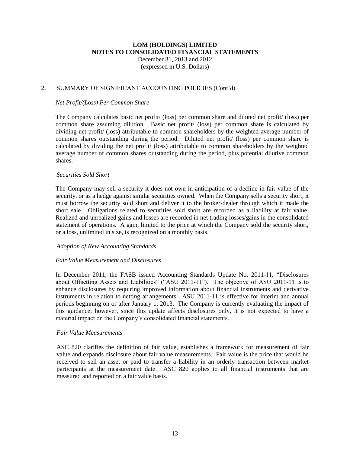December 31, 2013 and 2012 (expressed in U.S. Dollars)

#### 2. SUMMARY OF SIGNIFICANT ACCOUNTING POLICIES (Cont'd)

#### *Net Profit/(Loss) Per Common Share*

The Company calculates basic net profit/ (loss) per common share and diluted net profit/ (loss) per common share assuming dilution. Basic net profit/ (loss) per common share is calculated by dividing net profit/ (loss) attributable to common shareholders by the weighted average number of common shares outstanding during the period. Diluted net profit/ (loss) per common share is calculated by dividing the net profit/ (loss) attributable to common shareholders by the weighted average number of common shares outstanding during the period, plus potential dilutive common shares.

#### *Securities Sold Short*

The Company may sell a security it does not own in anticipation of a decline in fair value of the security, or as a hedge against similar securities owned. When the Company sells a security short, it must borrow the security sold short and deliver it to the broker-dealer through which it made the short sale. Obligations related to securities sold short are recorded as a liability at fair value. Realized and unrealized gains and losses are recorded in net trading losses/gains in the consolidated statement of operations. A gain, limited to the price at which the Company sold the security short, or a loss, unlimited in size, is recognized on a monthly basis.

#### *Adoption of New Accounting Standards*

#### *Fair Value Measurement and Disclosures*

In December 2011, the FASB issued Accounting Standards Update No. 2011-11, "Disclosures about Offsetting Assets and Liabilities" ("ASU 2011-11"). The objective of ASU 2011-11 is to enhance disclosures by requiring improved information about financial instruments and derivative instruments in relation to netting arrangements. ASU 2011-11 is effective for interim and annual periods beginning on or after January 1, 2013. The Company is currently evaluating the impact of this guidance; however, since this update affects disclosures only, it is not expected to have a material impact on the Company's consolidated financial statements.

#### *Fair Value Measurements*

ASC 820 clarifies the definition of fair value, establishes a framework for measurement of fair value and expands disclosure about fair value measurements. Fair value is the price that would be received to sell an asset or paid to transfer a liability in an orderly transaction between market participants at the measurement date. ASC 820 applies to all financial instruments that are measured and reported on a fair value basis.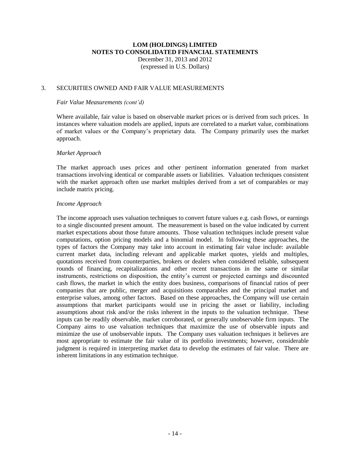(expressed in U.S. Dollars)

#### 3. SECURITIES OWNED AND FAIR VALUE MEASUREMENTS

#### *Fair Value Measurements (cont'd)*

Where available, fair value is based on observable market prices or is derived from such prices. In instances where valuation models are applied, inputs are correlated to a market value, combinations of market values or the Company's proprietary data. The Company primarily uses the market approach.

#### *Market Approach*

The market approach uses prices and other pertinent information generated from market transactions involving identical or comparable assets or liabilities. Valuation techniques consistent with the market approach often use market multiples derived from a set of comparables or may include matrix pricing.

#### *Income Approach*

The income approach uses valuation techniques to convert future values e.g. cash flows, or earnings to a single discounted present amount. The measurement is based on the value indicated by current market expectations about those future amounts. Those valuation techniques include present value computations, option pricing models and a binomial model. In following these approaches, the types of factors the Company may take into account in estimating fair value include: available current market data, including relevant and applicable market quotes, yields and multiples, quotations received from counterparties, brokers or dealers when considered reliable, subsequent rounds of financing, recapitalizations and other recent transactions in the same or similar instruments, restrictions on disposition, the entity's current or projected earnings and discounted cash flows, the market in which the entity does business, comparisons of financial ratios of peer companies that are public, merger and acquisitions comparables and the principal market and enterprise values, among other factors. Based on these approaches, the Company will use certain assumptions that market participants would use in pricing the asset or liability, including assumptions about risk and/or the risks inherent in the inputs to the valuation technique. These inputs can be readily observable, market corroborated, or generally unobservable firm inputs. The Company aims to use valuation techniques that maximize the use of observable inputs and minimize the use of unobservable inputs. The Company uses valuation techniques it believes are most appropriate to estimate the fair value of its portfolio investments; however, considerable judgment is required in interpreting market data to develop the estimates of fair value. There are inherent limitations in any estimation technique.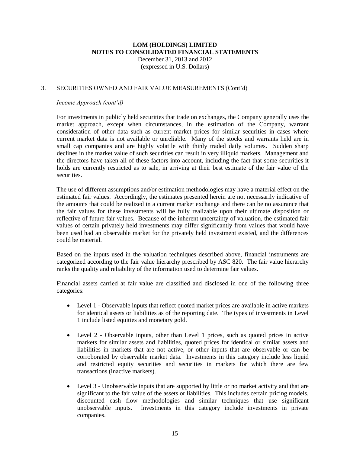(expressed in U.S. Dollars)

#### 3. SECURITIES OWNED AND FAIR VALUE MEASUREMENTS (Cont'd)

#### *Income Approach (cont'd)*

For investments in publicly held securities that trade on exchanges, the Company generally uses the market approach, except when circumstances, in the estimation of the Company, warrant consideration of other data such as current market prices for similar securities in cases where current market data is not available or unreliable. Many of the stocks and warrants held are in small cap companies and are highly volatile with thinly traded daily volumes. Sudden sharp declines in the market value of such securities can result in very illiquid markets. Management and the directors have taken all of these factors into account, including the fact that some securities it holds are currently restricted as to sale, in arriving at their best estimate of the fair value of the securities.

The use of different assumptions and/or estimation methodologies may have a material effect on the estimated fair values. Accordingly, the estimates presented herein are not necessarily indicative of the amounts that could be realized in a current market exchange and there can be no assurance that the fair values for these investments will be fully realizable upon their ultimate disposition or reflective of future fair values. Because of the inherent uncertainty of valuation, the estimated fair values of certain privately held investments may differ significantly from values that would have been used had an observable market for the privately held investment existed, and the differences could be material.

Based on the inputs used in the valuation techniques described above, financial instruments are categorized according to the fair value hierarchy prescribed by ASC 820. The fair value hierarchy ranks the quality and reliability of the information used to determine fair values.

Financial assets carried at fair value are classified and disclosed in one of the following three categories:

- Level 1 Observable inputs that reflect quoted market prices are available in active markets for identical assets or liabilities as of the reporting date. The types of investments in Level 1 include listed equities and monetary gold.
- Level 2 Observable inputs, other than Level 1 prices, such as quoted prices in active markets for similar assets and liabilities, quoted prices for identical or similar assets and liabilities in markets that are not active, or other inputs that are observable or can be corroborated by observable market data. Investments in this category include less liquid and restricted equity securities and securities in markets for which there are few transactions (inactive markets).
- Level 3 Unobservable inputs that are supported by little or no market activity and that are significant to the fair value of the assets or liabilities. This includes certain pricing models, discounted cash flow methodologies and similar techniques that use significant unobservable inputs. Investments in this category include investments in private companies.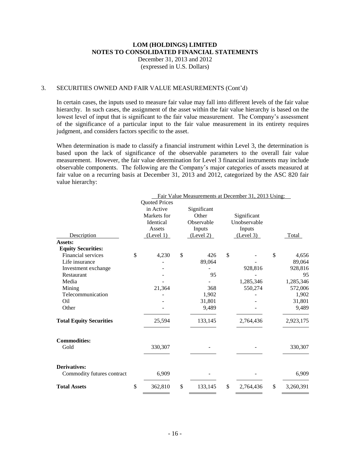(expressed in U.S. Dollars)

#### 3. SECURITIES OWNED AND FAIR VALUE MEASUREMENTS (Cont'd)

In certain cases, the inputs used to measure fair value may fall into different levels of the fair value hierarchy. In such cases, the assignment of the asset within the fair value hierarchy is based on the lowest level of input that is significant to the fair value measurement. The Company's assessment of the significance of a particular input to the fair value measurement in its entirety requires judgment, and considers factors specific to the asset.

When determination is made to classify a financial instrument within Level 3, the determination is based upon the lack of significance of the observable parameters to the overall fair value measurement. However, the fair value determination for Level 3 financial instruments may include observable components. The following are the Company's major categories of assets measured at fair value on a recurring basis at December 31, 2013 and 2012, categorized by the ASC 820 fair value hierarchy:

|                                |              |                      | Fair Value Measurements at December 31, 2013 Using: |              |              |                 |
|--------------------------------|--------------|----------------------|-----------------------------------------------------|--------------|--------------|-----------------|
|                                |              | <b>Quoted Prices</b> |                                                     |              |              |                 |
|                                |              | in Active            | Significant                                         |              |              |                 |
|                                |              | Markets for          | Other                                               |              | Significant  |                 |
|                                |              | Identical            | Observable                                          |              | Unobservable |                 |
|                                |              | Assets               | Inputs                                              |              | Inputs       |                 |
| Description                    |              | (Level 1)            | (Level 2)                                           |              | (Level 3)    | Total           |
| Assets:                        |              |                      |                                                     |              |              |                 |
| <b>Equity Securities:</b>      |              |                      |                                                     |              |              |                 |
| Financial services             | $\mathbb{S}$ | 4,230                | \$<br>426                                           | $\mathbb{S}$ |              | \$<br>4,656     |
| Life insurance                 |              |                      | 89,064                                              |              |              | 89,064          |
| Investment exchange            |              |                      |                                                     |              | 928,816      | 928,816         |
| Restaurant                     |              |                      | 95                                                  |              |              | 95              |
| Media                          |              |                      |                                                     |              | 1,285,346    | 1,285,346       |
| Mining                         |              | 21,364               | 368                                                 |              | 550,274      | 572,006         |
| Telecommunication              |              |                      | 1,902                                               |              |              | 1,902           |
| O <sub>il</sub>                |              |                      | 31,801                                              |              |              | 31,801          |
| Other                          |              |                      | 9,489                                               |              |              | 9,489           |
| <b>Total Equity Securities</b> |              | 25,594               | 133,145                                             |              | 2,764,436    | 2,923,175       |
| <b>Commodities:</b>            |              |                      |                                                     |              |              |                 |
| Gold                           |              | 330,307              |                                                     |              |              | 330,307         |
| <b>Derivatives:</b>            |              |                      |                                                     |              |              |                 |
| Commodity futures contract     |              | 6,909                |                                                     |              |              | 6,909           |
| <b>Total Assets</b>            | \$           | 362,810              | \$<br>133,145                                       | \$           | 2,764,436    | \$<br>3,260,391 |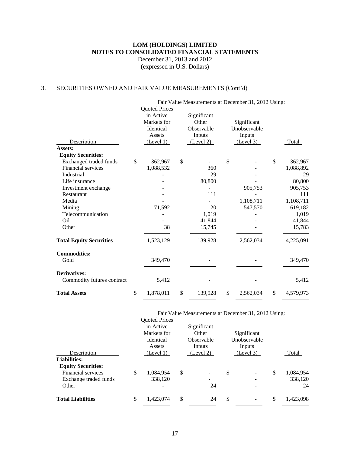(expressed in U.S. Dollars)

## 3. SECURITIES OWNED AND FAIR VALUE MEASUREMENTS (Cont'd)

|                                |                      | Fair Value Measurements at December 31, 2012 Using: |                 |                 |
|--------------------------------|----------------------|-----------------------------------------------------|-----------------|-----------------|
|                                | <b>Quoted Prices</b> |                                                     |                 |                 |
|                                | in Active            | Significant                                         |                 |                 |
|                                | Markets for          | Other                                               | Significant     |                 |
|                                | Identical            | Observable                                          | Unobservable    |                 |
|                                | Assets               | Inputs                                              | Inputs          |                 |
| Description                    | (Level 1)            | (Level 2)                                           | (Level 3)       | Total           |
| Assets:                        |                      |                                                     |                 |                 |
| <b>Equity Securities:</b>      |                      |                                                     |                 |                 |
| Exchanged traded funds         | \$<br>362,967        | \$                                                  | \$              | \$<br>362,967   |
| Financial services             | 1,088,532            | 360                                                 |                 | 1,088,892       |
| Industrial                     |                      | 29                                                  |                 | 29              |
| Life insurance                 |                      | 80,800                                              |                 | 80,800          |
| Investment exchange            |                      | ÷.                                                  | 905,753         | 905,753         |
| Restaurant                     |                      | 111                                                 |                 | 111             |
| Media                          |                      |                                                     | 1,108,711       | 1,108,711       |
| Mining                         | 71,592               | 20                                                  | 547,570         | 619,182         |
| Telecommunication              |                      | 1,019                                               |                 | 1,019           |
| Oil                            |                      | 41,844                                              |                 | 41,844          |
| Other                          | 38                   | 15,745                                              |                 | 15,783          |
| <b>Total Equity Securities</b> | 1,523,129            | 139,928                                             | 2,562,034       | 4,225,091       |
| <b>Commodities:</b>            |                      |                                                     |                 |                 |
| Gold                           | 349,470              |                                                     |                 | 349,470         |
| <b>Derivatives:</b>            |                      |                                                     |                 |                 |
| Commodity futures contract     | 5,412                |                                                     |                 | 5,412           |
| <b>Total Assets</b>            | \$<br>1,878,011      | \$<br>139,928                                       | \$<br>2,562,034 | \$<br>4,579,973 |
|                                |                      | Fair Value Measurements at December 31, 2012 Using: |                 |                 |
|                                | <b>Quoted Prices</b> |                                                     |                 |                 |

| Description               | in Active<br>Markets for<br>Identical<br>Assets<br>(Level 1) | Significant<br>Other<br>Observable<br>Inputs<br>(Level 2) | Significant<br>Unobservable<br>Inputs<br>(Level 3) | Total           |
|---------------------------|--------------------------------------------------------------|-----------------------------------------------------------|----------------------------------------------------|-----------------|
|                           |                                                              |                                                           |                                                    |                 |
| <b>Liabilities:</b>       |                                                              |                                                           |                                                    |                 |
| <b>Equity Securities:</b> |                                                              |                                                           |                                                    |                 |
| Financial services        | \$<br>1,084,954                                              | \$                                                        | \$                                                 | \$<br>1,084,954 |
| Exchange traded funds     | 338,120                                                      |                                                           |                                                    | 338,120         |
| Other                     |                                                              | 24                                                        |                                                    | 24              |
| <b>Total Liabilities</b>  | \$<br>1,423,074                                              | \$<br>24                                                  | \$                                                 | \$<br>1,423,098 |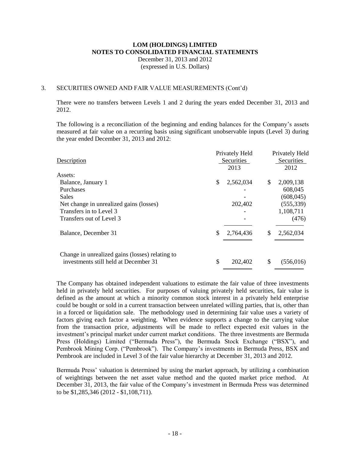#### **LOM (HOLDINGS) LIMITED NOTES TO CONSOLIDATED FINANCIAL STATEMENTS** December 31, 2013 and 2012 (expressed in U.S. Dollars)

#### 3. SECURITIES OWNED AND FAIR VALUE MEASUREMENTS (Cont'd)

There were no transfers between Levels 1 and 2 during the years ended December 31, 2013 and 2012.

The following is a reconciliation of the beginning and ending balances for the Company's assets measured at fair value on a recurring basis using significant unobservable inputs (Level 3) during the year ended December 31, 2013 and 2012:

| Description                                     |    | Privately Held<br>Securities |     | Privately Held<br>Securities |  |
|-------------------------------------------------|----|------------------------------|-----|------------------------------|--|
|                                                 |    | 2013                         |     | 2012                         |  |
| Assets:                                         |    |                              |     |                              |  |
| Balance, January 1                              | \$ | 2,562,034                    | \$. | 2,009,138                    |  |
| Purchases                                       |    |                              |     | 608,045                      |  |
| Sales                                           |    |                              |     | (608, 045)                   |  |
| Net change in unrealized gains (losses)         |    | 202,402                      |     | (555, 339)                   |  |
| Transfers in to Level 3                         |    |                              |     | 1,108,711                    |  |
| Transfers out of Level 3                        |    |                              |     | (476)                        |  |
| Balance, December 31                            | \$ | 2,764,436                    |     | 2,562,034                    |  |
| Change in unrealized gains (losses) relating to |    |                              |     |                              |  |
| investments still held at December 31           | \$ | 202,402                      | \$  | (556, 016)                   |  |

The Company has obtained independent valuations to estimate the fair value of three investments held in privately held securities. For purposes of valuing privately held securities, fair value is defined as the amount at which a minority common stock interest in a privately held enterprise could be bought or sold in a current transaction between unrelated willing parties, that is, other than in a forced or liquidation sale. The methodology used in determining fair value uses a variety of factors giving each factor a weighting. When evidence supports a change to the carrying value from the transaction price, adjustments will be made to reflect expected exit values in the investment's principal market under current market conditions. The three investments are Bermuda Press (Holdings) Limited ("Bermuda Press"), the Bermuda Stock Exchange ("BSX"), and Pembrook Mining Corp. ("Pembrook"). The Company's investments in Bermuda Press, BSX and Pembrook are included in Level 3 of the fair value hierarchy at December 31, 2013 and 2012.

Bermuda Press' valuation is determined by using the market approach, by utilizing a combination of weightings between the net asset value method and the quoted market price method. At December 31, 2013, the fair value of the Company's investment in Bermuda Press was determined to be \$1,285,346 (2012 - \$1,108,711).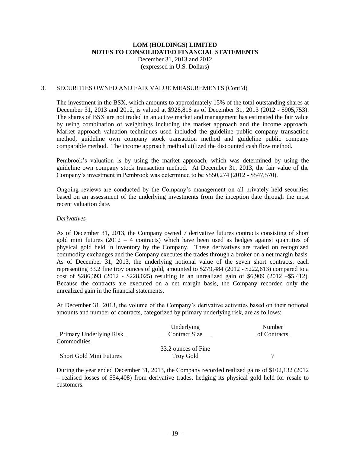#### **LOM (HOLDINGS) LIMITED NOTES TO CONSOLIDATED FINANCIAL STATEMENTS** December 31, 2013 and 2012 (expressed in U.S. Dollars)

#### 3. SECURITIES OWNED AND FAIR VALUE MEASUREMENTS (Cont'd)

The investment in the BSX, which amounts to approximately 15% of the total outstanding shares at December 31, 2013 and 2012, is valued at \$928,816 as of December 31, 2013 (2012 - \$905,753). The shares of BSX are not traded in an active market and management has estimated the fair value by using combination of weightings including the market approach and the income approach. Market approach valuation techniques used included the guideline public company transaction method, guideline own company stock transaction method and guideline public company comparable method. The income approach method utilized the discounted cash flow method.

Pembrook's valuation is by using the market approach, which was determined by using the guideline own company stock transaction method. At December 31, 2013, the fair value of the Company's investment in Pembrook was determined to be \$550,274 (2012 - \$547,570).

Ongoing reviews are conducted by the Company's management on all privately held securities based on an assessment of the underlying investments from the inception date through the most recent valuation date.

#### *Derivatives*

As of December 31, 2013, the Company owned 7 derivative futures contracts consisting of short gold mini futures  $(2012 - 4$  contracts) which have been used as hedges against quantities of physical gold held in inventory by the Company. These derivatives are traded on recognized commodity exchanges and the Company executes the trades through a broker on a net margin basis. As of December 31, 2013, the underlying notional value of the seven short contracts, each representing 33.2 fine troy ounces of gold, amounted to \$279,484 (2012 - \$222,613) compared to a cost of \$286,393 (2012 - \$228,025) resulting in an unrealized gain of \$6,909 (2012 –\$5,412). Because the contracts are executed on a net margin basis, the Company recorded only the unrealized gain in the financial statements.

At December 31, 2013, the volume of the Company's derivative activities based on their notional amounts and number of contracts, categorized by primary underlying risk, are as follows:

|                                | Underlying          | Number       |
|--------------------------------|---------------------|--------------|
| Primary Underlying Risk        | Contract Size       | of Contracts |
| <b>Commodities</b>             |                     |              |
|                                | 33.2 ounces of Fine |              |
| <b>Short Gold Mini Futures</b> | <b>Troy Gold</b>    |              |

During the year ended December 31, 2013, the Company recorded realized gains of \$102,132 (2012 – realised losses of \$54,408) from derivative trades, hedging its physical gold held for resale to customers.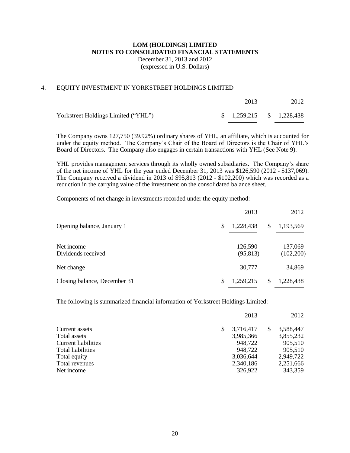December 31, 2013 and 2012 (expressed in U.S. Dollars)

#### 4. EQUITY INVESTMENT IN YORKSTREET HOLDINGS LIMITED

|                                     | 2013                          | 2012 |
|-------------------------------------|-------------------------------|------|
| Yorkstreet Holdings Limited ("YHL") | $\frac{1,259,215}{1,228,438}$ |      |

The Company owns 127,750 (39.92%) ordinary shares of YHL, an affiliate, which is accounted for under the equity method. The Company's Chair of the Board of Directors is the Chair of YHL's Board of Directors. The Company also engages in certain transactions with YHL (See Note 9).

YHL provides management services through its wholly owned subsidiaries. The Company's share of the net income of YHL for the year ended December 31, 2013 was \$126,590 (2012 - \$137,069). The Company received a dividend in 2013 of \$95,813 (2012 - \$102,200) which was recorded as a reduction in the carrying value of the investment on the consolidated balance sheet.

Components of net change in investments recorded under the equity method:

|                                  | 2013                 |    | 2012                 |
|----------------------------------|----------------------|----|----------------------|
| Opening balance, January 1       | \$<br>1,228,438      | \$ | 1,193,569            |
| Net income<br>Dividends received | 126,590<br>(95, 813) |    | 137,069<br>(102,200) |
| Net change                       | 30,777               |    | 34,869               |
| Closing balance, December 31     | \$<br>1,259,215      | S  | 1,228,438            |

The following is summarized financial information of Yorkstreet Holdings Limited:

|                            |   | 2013      |   | 2012      |
|----------------------------|---|-----------|---|-----------|
| Current assets             | S | 3,716,417 | S | 3,588,447 |
| Total assets               |   | 3,985,366 |   | 3,855,232 |
| <b>Current liabilities</b> |   | 948,722   |   | 905,510   |
| <b>Total liabilities</b>   |   | 948,722   |   | 905,510   |
| Total equity               |   | 3,036,644 |   | 2,949,722 |
| Total revenues             |   | 2,340,186 |   | 2,251,666 |
| Net income                 |   | 326,922   |   | 343,359   |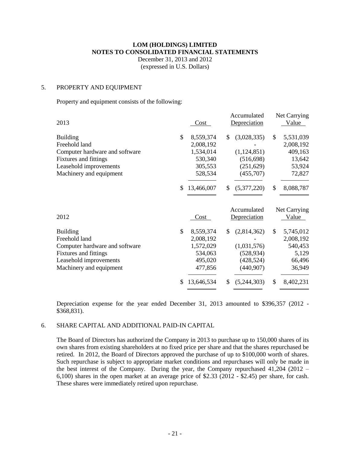December 31, 2013 and 2012 (expressed in U.S. Dollars)

#### 5. PROPERTY AND EQUIPMENT

Property and equipment consists of the following:

|                                |                  |     | Accumulated                 | Net Carrying          |
|--------------------------------|------------------|-----|-----------------------------|-----------------------|
| 2013                           | Cost             |     | Depreciation                | Value                 |
| <b>Building</b>                | \$<br>8,559,374  | \$  | (3,028,335)                 | \$<br>5,531,039       |
| Freehold land                  | 2,008,192        |     |                             | 2,008,192             |
| Computer hardware and software | 1,534,014        |     | (1,124,851)                 | 409,163               |
| <b>Fixtures</b> and fittings   | 530,340          |     | (516, 698)                  | 13,642                |
| Leasehold improvements         | 305,553          |     | (251, 629)                  | 53,924                |
| Machinery and equipment        | 528,534          |     | (455,707)                   | 72,827                |
|                                | \$<br>13,466,007 | \$  | (5,377,220)                 | \$<br>8,088,787       |
|                                |                  |     |                             |                       |
|                                |                  |     |                             |                       |
| 2012                           | Cost             |     | Accumulated<br>Depreciation | Net Carrying<br>Value |
| <b>Building</b>                | \$<br>8,559,374  | \$. | (2,814,362)                 | \$<br>5,745,012       |
| Freehold land                  | 2,008,192        |     |                             | 2,008,192             |
| Computer hardware and software | 1,572,029        |     | (1,031,576)                 | 540,453               |
| <b>Fixtures</b> and fittings   | 534,063          |     | (528, 934)                  | 5,129                 |
| Leasehold improvements         | 495,020          |     | (428, 524)                  | 66,496                |
| Machinery and equipment        | 477,856          |     | (440,907)                   | 36,949                |

Depreciation expense for the year ended December 31, 2013 amounted to \$396,357 (2012 - \$368,831).

#### 6. SHARE CAPITAL AND ADDITIONAL PAID-IN CAPITAL

The Board of Directors has authorized the Company in 2013 to purchase up to 150,000 shares of its own shares from existing shareholders at no fixed price per share and that the shares repurchased be retired. In 2012, the Board of Directors approved the purchase of up to \$100,000 worth of shares. Such repurchase is subject to appropriate market conditions and repurchases will only be made in the best interest of the Company. During the year, the Company repurchased 41,204 (2012 – 6,100) shares in the open market at an average price of \$2.33 (2012 - \$2.45) per share, for cash. These shares were immediately retired upon repurchase.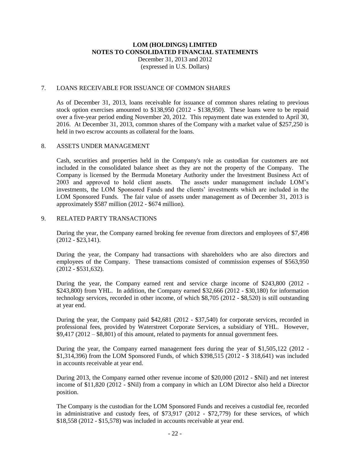(expressed in U.S. Dollars)

#### 7. LOANS RECEIVABLE FOR ISSUANCE OF COMMON SHARES

As of December 31, 2013, loans receivable for issuance of common shares relating to previous stock option exercises amounted to \$138,950 (2012 - \$138,950). These loans were to be repaid over a five-year period ending November 20, 2012. This repayment date was extended to April 30, 2016. At December 31, 2013, common shares of the Company with a market value of \$257,250 is held in two escrow accounts as collateral for the loans.

#### 8. ASSETS UNDER MANAGEMENT

Cash, securities and properties held in the Company's role as custodian for customers are not included in the consolidated balance sheet as they are not the property of the Company. The Company is licensed by the Bermuda Monetary Authority under the Investment Business Act of 2003 and approved to hold client assets. The assets under management include LOM's investments, the LOM Sponsored Funds and the clients' investments which are included in the LOM Sponsored Funds. The fair value of assets under management as of December 31, 2013 is approximately \$587 million (2012 - \$674 million).

#### 9. RELATED PARTY TRANSACTIONS

During the year, the Company earned broking fee revenue from directors and employees of \$7,498  $(2012 - $23,141)$ .

During the year, the Company had transactions with shareholders who are also directors and employees of the Company. These transactions consisted of commission expenses of \$563,950 (2012 - \$531,632).

During the year, the Company earned rent and service charge income of \$243,800 (2012 - \$243,800) from YHL. In addition, the Company earned \$32,666 (2012 - \$30,180) for information technology services, recorded in other income, of which \$8,705 (2012 - \$8,520) is still outstanding at year end.

During the year, the Company paid \$42,681 (2012 - \$37,540) for corporate services, recorded in professional fees, provided by Waterstreet Corporate Services, a subsidiary of YHL. However,  $$9,417 (2012 - $8,801)$  of this amount, related to payments for annual government fees.

During the year, the Company earned management fees during the year of \$1,505,122 (2012 - \$1,314,396) from the LOM Sponsored Funds, of which \$398,515 (2012 - \$ 318,641) was included in accounts receivable at year end.

During 2013, the Company earned other revenue income of \$20,000 (2012 - \$Nil) and net interest income of \$11,820 (2012 - \$Nil) from a company in which an LOM Director also held a Director position.

The Company is the custodian for the LOM Sponsored Funds and receives a custodial fee, recorded in administrative and custody fees, of \$73,917 (2012 - \$72,779) for these services, of which \$18,558 (2012 - \$15,578) was included in accounts receivable at year end.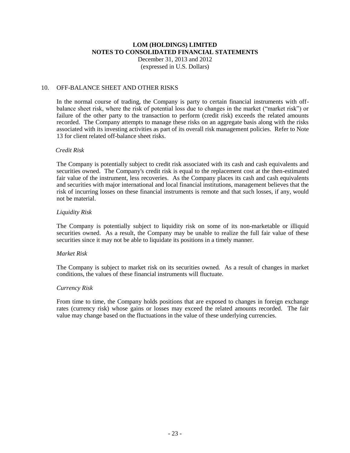December 31, 2013 and 2012 (expressed in U.S. Dollars)

#### 10. OFF-BALANCE SHEET AND OTHER RISKS

In the normal course of trading, the Company is party to certain financial instruments with offbalance sheet risk, where the risk of potential loss due to changes in the market ("market risk") or failure of the other party to the transaction to perform (credit risk) exceeds the related amounts recorded. The Company attempts to manage these risks on an aggregate basis along with the risks associated with its investing activities as part of its overall risk management policies. Refer to Note 13 for client related off-balance sheet risks.

#### *Credit Risk*

The Company is potentially subject to credit risk associated with its cash and cash equivalents and securities owned. The Company's credit risk is equal to the replacement cost at the then-estimated fair value of the instrument, less recoveries. As the Company places its cash and cash equivalents and securities with major international and local financial institutions, management believes that the risk of incurring losses on these financial instruments is remote and that such losses, if any, would not be material.

#### *Liquidity Risk*

The Company is potentially subject to liquidity risk on some of its non-marketable or illiquid securities owned. As a result, the Company may be unable to realize the full fair value of these securities since it may not be able to liquidate its positions in a timely manner.

#### *Market Risk*

The Company is subject to market risk on its securities owned. As a result of changes in market conditions, the values of these financial instruments will fluctuate.

#### *Currency Risk*

From time to time, the Company holds positions that are exposed to changes in foreign exchange rates (currency risk) whose gains or losses may exceed the related amounts recorded. The fair value may change based on the fluctuations in the value of these underlying currencies.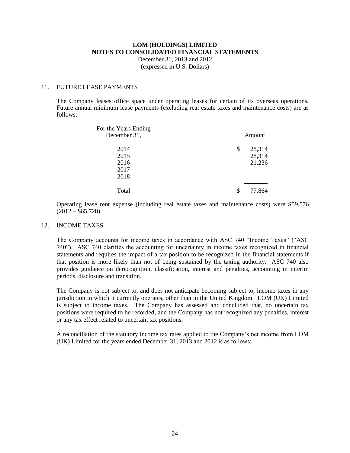December 31, 2013 and 2012 (expressed in U.S. Dollars)

#### 11. FUTURE LEASE PAYMENTS

The Company leases office space under operating leases for certain of its overseas operations. Future annual minimum lease payments (excluding real estate taxes and maintenance costs) are as follows:

| For the Years Ending<br>December 31, | Amount       |
|--------------------------------------|--------------|
| 2014                                 | \$<br>28,314 |
| 2015                                 | 28,314       |
| 2016                                 | 21,236       |
| 2017                                 |              |
| 2018                                 |              |
| Total                                | \$<br>77,864 |

Operating lease rent expense (including real estate taxes and maintenance costs) were \$59,576  $(2012 - $65,728)$ .

#### 12. INCOME TAXES

The Company accounts for income taxes in accordance with ASC 740 "Income Taxes" ("ASC 740"). ASC 740 clarifies the accounting for uncertainty in income taxes recognized in financial statements and requires the impact of a tax position to be recognized in the financial statements if that position is more likely than not of being sustained by the taxing authority. ASC 740 also provides guidance on derecognition, classification, interest and penalties, accounting in interim periods, disclosure and transition.

The Company is not subject to, and does not anticipate becoming subject to, income taxes in any jurisdiction in which it currently operates, other than in the United Kingdom. LOM (UK) Limited is subject to income taxes. The Company has assessed and concluded that, no uncertain tax positions were required to be recorded, and the Company has not recognized any penalties, interest or any tax effect related to uncertain tax positions.

A reconciliation of the statutory income tax rates applied to the Company's net income from LOM (UK) Limited for the years ended December 31, 2013 and 2012 is as follows: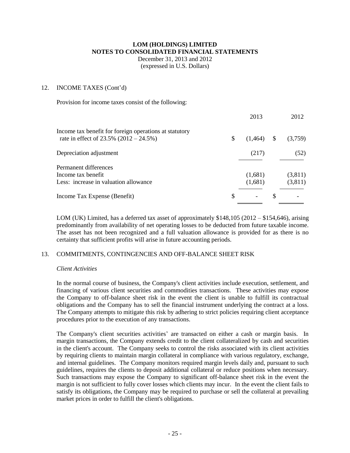December 31, 2013 and 2012 (expressed in U.S. Dollars)

#### 12. INCOME TAXES (Cont'd)

Provision for income taxes consist of the following:

|                                                                                                     |     | 2013    |              | 2012    |
|-----------------------------------------------------------------------------------------------------|-----|---------|--------------|---------|
| Income tax benefit for foreign operations at statutory<br>rate in effect of $23.5\%$ (2012 – 24.5%) | \$. | (1.464) | <sup>S</sup> | (3,759) |
| Depreciation adjustment                                                                             |     | (217)   |              | (52)    |
| Permanent differences                                                                               |     |         |              |         |
| Income tax benefit                                                                                  |     | (1,681) |              | (3,811) |
| Less: increase in valuation allowance                                                               |     | (1,681) |              | (3,811) |
| Income Tax Expense (Benefit)                                                                        | -S  |         | \$.          |         |

LOM (UK) Limited, has a deferred tax asset of approximately \$148,105 (2012 – \$154,646), arising predominantly from availability of net operating losses to be deducted from future taxable income. The asset has not been recognized and a full valuation allowance is provided for as there is no certainty that sufficient profits will arise in future accounting periods.

#### 13. COMMITMENTS, CONTINGENCIES AND OFF-BALANCE SHEET RISK

#### *Client Activities*

In the normal course of business, the Company's client activities include execution, settlement, and financing of various client securities and commodities transactions. These activities may expose the Company to off-balance sheet risk in the event the client is unable to fulfill its contractual obligations and the Company has to sell the financial instrument underlying the contract at a loss. The Company attempts to mitigate this risk by adhering to strict policies requiring client acceptance procedures prior to the execution of any transactions.

The Company's client securities activities' are transacted on either a cash or margin basis. In margin transactions, the Company extends credit to the client collateralized by cash and securities in the client's account. The Company seeks to control the risks associated with its client activities by requiring clients to maintain margin collateral in compliance with various regulatory, exchange, and internal guidelines. The Company monitors required margin levels daily and, pursuant to such guidelines, requires the clients to deposit additional collateral or reduce positions when necessary. Such transactions may expose the Company to significant off-balance sheet risk in the event the margin is not sufficient to fully cover losses which clients may incur. In the event the client fails to satisfy its obligations, the Company may be required to purchase or sell the collateral at prevailing market prices in order to fulfill the client's obligations.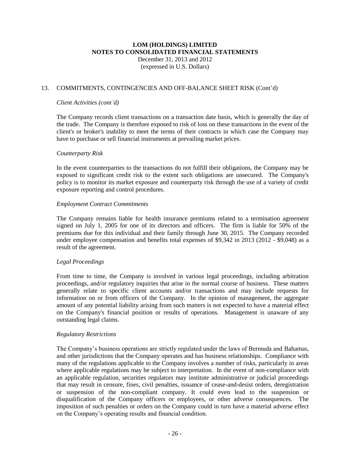#### **LOM (HOLDINGS) LIMITED NOTES TO CONSOLIDATED FINANCIAL STATEMENTS** December 31, 2013 and 2012 (expressed in U.S. Dollars)

## 13. COMMITMENTS, CONTINGENCIES AND OFF-BALANCE SHEET RISK (Cont'd)

#### *Client Activities (cont'd)*

The Company records client transactions on a transaction date basis, which is generally the day of the trade. The Company is therefore exposed to risk of loss on these transactions in the event of the client's or broker's inability to meet the terms of their contracts in which case the Company may have to purchase or sell financial instruments at prevailing market prices.

#### *Counterparty Risk*

In the event counterparties to the transactions do not fulfill their obligations, the Company may be exposed to significant credit risk to the extent such obligations are unsecured. The Company's policy is to monitor its market exposure and counterparty risk through the use of a variety of credit exposure reporting and control procedures.

#### *Employment Contract Commitments*

The Company remains liable for health insurance premiums related to a termination agreement signed on July 1, 2005 for one of its directors and officers. The firm is liable for 50% of the premiums due for this individual and their family through June 30, 2015. The Company recorded under employee compensation and benefits total expenses of \$9,342 in 2013 (2012 - \$9,048) as a result of the agreement.

#### *Legal Proceedings*

From time to time, the Company is involved in various legal proceedings, including arbitration proceedings, and/or regulatory inquiries that arise in the normal course of business. These matters generally relate to specific client accounts and/or transactions and may include requests for information on or from officers of the Company. In the opinion of management, the aggregate amount of any potential liability arising from such matters is not expected to have a material effect on the Company's financial position or results of operations. Management is unaware of any outstanding legal claims.

#### *Regulatory Restrictions*

The Company's business operations are strictly regulated under the laws of Bermuda and Bahamas, and other jurisdictions that the Company operates and has business relationships. Compliance with many of the regulations applicable to the Company involves a number of risks, particularly in areas where applicable regulations may be subject to interpretation. In the event of non-compliance with an applicable regulation, securities regulators may institute administrative or judicial proceedings that may result in censure, fines, civil penalties, issuance of cease-and-desist orders, deregistration or suspension of the non-compliant company. It could even lead to the suspension or disqualification of the Company officers or employees, or other adverse consequences. The imposition of such penalties or orders on the Company could in turn have a material adverse effect on the Company's operating results and financial condition.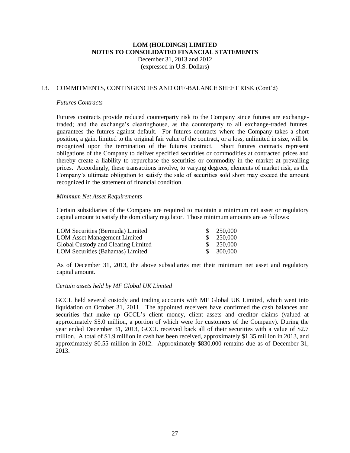(expressed in U.S. Dollars)

#### 13. COMMITMENTS, CONTINGENCIES AND OFF-BALANCE SHEET RISK (Cont'd)

#### *Futures Contracts*

Futures contracts provide reduced counterparty risk to the Company since futures are exchangetraded; and the exchange's clearinghouse, as the counterparty to all exchange-traded futures, guarantees the futures against default. For futures contracts where the Company takes a short position, a gain, limited to the original fair value of the contract, or a loss, unlimited in size, will be recognized upon the termination of the futures contract. Short futures contracts represent obligations of the Company to deliver specified securities or commodities at contracted prices and thereby create a liability to repurchase the securities or commodity in the market at prevailing prices. Accordingly, these transactions involve, to varying degrees, elements of market risk, as the Company's ultimate obligation to satisfy the sale of securities sold short may exceed the amount recognized in the statement of financial condition.

#### *Minimum Net Asset Requirements*

Certain subsidiaries of the Company are required to maintain a minimum net asset or regulatory capital amount to satisfy the domiciliary regulator. Those minimum amounts are as follows:

| LOM Securities (Bermuda) Limited    |     | 250,000 |
|-------------------------------------|-----|---------|
| <b>LOM Asset Management Limited</b> |     | 250,000 |
| Global Custody and Clearing Limited | -SS | 250.000 |
| LOM Securities (Bahamas) Limited    |     | 300,000 |

As of December 31, 2013, the above subsidiaries met their minimum net asset and regulatory capital amount.

#### *Certain assets held by MF Global UK Limited*

GCCL held several custody and trading accounts with MF Global UK Limited, which went into liquidation on October 31, 2011. The appointed receivers have confirmed the cash balances and securities that make up GCCL's client money, client assets and creditor claims (valued at approximately \$5.0 million, a portion of which were for customers of the Company). During the year ended December 31, 2013, GCCL received back all of their securities with a value of \$2.7 million. A total of \$1.9 million in cash has been received, approximately \$1.35 million in 2013, and approximately \$0.55 million in 2012. Approximately \$830,000 remains due as of December 31, 2013.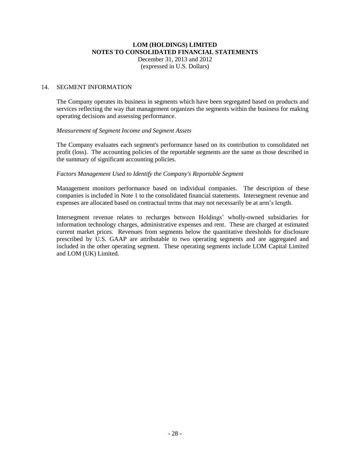December 31, 2013 and 2012 (expressed in U.S. Dollars)

#### 14. SEGMENT INFORMATION

The Company operates its business in segments which have been segregated based on products and services reflecting the way that management organizes the segments within the business for making operating decisions and assessing performance.

#### *Measurement of Segment Income and Segment Assets*

The Company evaluates each segment's performance based on its contribution to consolidated net profit (loss). The accounting policies of the reportable segments are the same as those described in the summary of significant accounting policies.

#### *Factors Management Used to Identify the Company's Reportable Segment*

Management monitors performance based on individual companies. The description of these companies is included in Note 1 to the consolidated financial statements. Intersegment revenue and expenses are allocated based on contractual terms that may not necessarily be at arm's length.

Intersegment revenue relates to recharges between Holdings' wholly-owned subsidiaries for information technology charges, administrative expenses and rent. These are charged at estimated current market prices. Revenues from segments below the quantitative thresholds for disclosure prescribed by U.S. GAAP are attributable to two operating segments and are aggregated and included in the other operating segment. These operating segments include LOM Capital Limited and LOM (UK) Limited.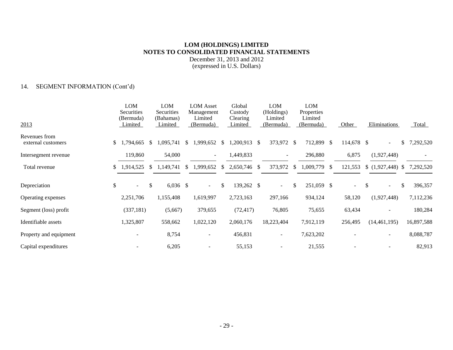December 31, 2013 and 2012 (expressed in U.S. Dollars)

## 14. SEGMENT INFORMATION (Cont'd)

|                                     |    | LOM        |               | <b>LOM</b> |              | <b>LOM</b> Asset         |               | Global     |    | <b>LOM</b>               |     | <b>LOM</b> |              |            |    |                |    |            |
|-------------------------------------|----|------------|---------------|------------|--------------|--------------------------|---------------|------------|----|--------------------------|-----|------------|--------------|------------|----|----------------|----|------------|
|                                     |    | Securities |               | Securities |              | Management               |               | Custody    |    | (Holdings)               |     | Properties |              |            |    |                |    |            |
|                                     |    | (Bermuda)  |               | (Bahamas)  |              | Limited                  |               | Clearing   |    | Limited                  |     | Limited    |              |            |    |                |    |            |
| 2013                                |    | Limited    |               | Limited    |              | (Bermuda)                |               | Limited    |    | (Bermuda)                |     | (Bermuda)  |              | Other      |    | Eliminations   |    | Total      |
| Revenues from<br>external customers | \$ | 1,794,665  | <sup>\$</sup> | 1,095,741  | \$           | 1,999,652                | <sup>\$</sup> | 1,200,913  | \$ | 373,972 \$               |     | 712,899 \$ |              | 114,678 \$ |    | $\sim$         | \$ | 7,292,520  |
| Intersegment revenue                |    | 119,860    |               | 54,000     |              | $\sim$                   |               | 1,449,833  |    | $\sim$                   |     | 296,880    |              | 6,875      |    | (1,927,448)    |    |            |
| Total revenue                       | S. | 1,914,525  | <sup>S</sup>  | 1,149,741  | <sup>S</sup> | 1,999,652                | <sup>S</sup>  | 2,650,746  | -S | 373,972                  | -SS | 1,009,779  | <sup>S</sup> | 121,553    |    | (1,927,448)    | -S | 7,292,520  |
| Depreciation                        | \$ | $\sim$     | $\mathbb{S}$  | $6,036$ \$ |              | $\sim$                   | \$            | 139,262 \$ |    | $\sim$                   | \$. | 251,059 \$ |              | $\sim$     | -S | $\sim$         | \$ | 396,357    |
| Operating expenses                  |    | 2,251,706  |               | 1,155,408  |              | 1,619,997                |               | 2,723,163  |    | 297,166                  |     | 934,124    |              | 58,120     |    | (1,927,448)    |    | 7,112,236  |
| Segment (loss) profit               |    | (337, 181) |               | (5,667)    |              | 379,655                  |               | (72, 417)  |    | 76,805                   |     | 75,655     |              | 63,434     |    |                |    | 180,284    |
| Identifiable assets                 |    | 1,325,807  |               | 558,662    |              | 1,022,120                |               | 2,060,176  |    | 18,223,404               |     | 7,912,119  |              | 256,495    |    | (14, 461, 195) |    | 16,897,588 |
| Property and equipment              |    |            |               | 8,754      |              | $\overline{\phantom{a}}$ |               | 456,831    |    | $\sim$                   |     | 7,623,202  |              |            |    |                |    | 8,088,787  |
| Capital expenditures                |    |            |               | 6,205      |              |                          |               | 55,153     |    | $\overline{\phantom{a}}$ |     | 21,555     |              |            |    |                |    | 82,913     |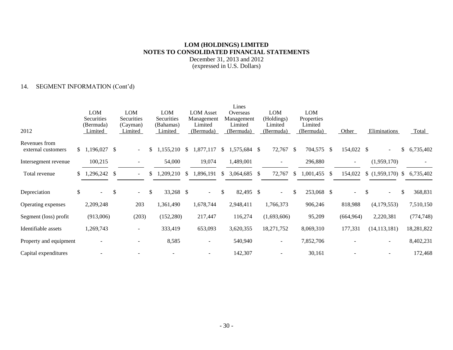December 31, 2013 and 2012 (expressed in U.S. Dollars)

## 14. SEGMENT INFORMATION (Cont'd)

|                                     |              |                       |               |                                 |              |                      |              |                                |               | Lines                  |               |                          |              |                          |               |            |               |                |                 |
|-------------------------------------|--------------|-----------------------|---------------|---------------------------------|--------------|----------------------|--------------|--------------------------------|---------------|------------------------|---------------|--------------------------|--------------|--------------------------|---------------|------------|---------------|----------------|-----------------|
|                                     |              | LOM<br>Securities     |               | <b>LOM</b><br><b>Securities</b> |              | LOM<br>Securities    |              | <b>LOM</b> Asset<br>Management |               | Overseas<br>Management |               | <b>LOM</b><br>(Holdings) |              | <b>LOM</b><br>Properties |               |            |               |                |                 |
| 2012                                |              | (Bermuda)<br>Limited  |               | (Cayman)<br>Limited             |              | (Bahamas)<br>Limited |              | Limited<br>(Bermuda)           |               | Limited<br>(Bermuda)   |               | Limited<br>(Bermuda)     |              | Limited<br>(Bermuda)     |               | Other      |               | Eliminations   | Total           |
| Revenues from<br>external customers |              | $\frac{1,196,027}{2}$ | <sup>\$</sup> | $\sim$                          | \$           | 1,155,210            | <sup>S</sup> | 1,877,117                      | <sup>\$</sup> | 1,575,684 \$           |               | 72,767 \$                |              | 704,575                  | -S            | 154,022 \$ |               | $\sim$         | \$<br>6,735,402 |
| Intersegment revenue                |              | 100,215               |               |                                 |              | 54,000               |              | 19,074                         |               | 1,489,001              |               | $\overline{\phantom{a}}$ |              | 296,880                  |               | $\sim$     |               | (1,959,170)    |                 |
| Total revenue                       | \$           | ,296,242              | <sup>\$</sup> |                                 |              | ,209,210             | <sup>S</sup> | 1,896,191                      | <sup>\$</sup> | 3,064,685              | <sup>\$</sup> | 72,767                   | <sup>S</sup> | 1,001,455                | <sup>\$</sup> | 154,022    |               |                | 6,735,402       |
| Depreciation                        | $\mathbb{S}$ |                       | $\mathbb{S}$  | $\sim$                          | $\mathbb{S}$ | 33,268 \$            |              | $\sim$                         | \$            | 82,495 \$              |               | $\sim$                   |              | 253,068 \$               |               | $\sim$ .   | <sup>\$</sup> |                | \$<br>368,831   |
| Operating expenses                  |              | 2,209,248             |               | 203                             |              | 1,361,490            |              | 1,678,744                      |               | 2,948,411              |               | 1,766,373                |              | 906,246                  |               | 818,988    |               | (4,179,553)    | 7,510,150       |
| Segment (loss) profit               |              | (913,006)             |               | (203)                           |              | (152,280)            |              | 217,447                        |               | 116,274                |               | (1,693,606)              |              | 95,209                   |               | (664, 964) |               | 2,220,381      | (774, 748)      |
| Identifiable assets                 |              | 1,269,743             |               |                                 |              | 333,419              |              | 653,093                        |               | 3,620,355              |               | 18,271,752               |              | 8,069,310                |               | 177,331    |               | (14, 113, 181) | 18,281,822      |
| Property and equipment              |              |                       |               |                                 |              | 8,585                |              | $\overline{\phantom{a}}$       |               | 540,940                |               | $\overline{\phantom{a}}$ |              | 7,852,706                |               |            |               |                | 8,402,231       |
| Capital expenditures                |              |                       |               |                                 |              |                      |              | $\overline{\phantom{a}}$       |               | 142,307                |               | $\overline{\phantom{a}}$ |              | 30,161                   |               |            |               |                | 172,468         |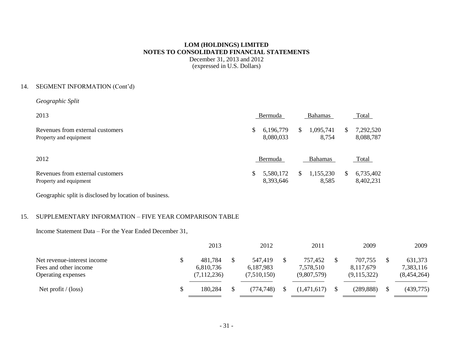December 31, 2013 and 2012 (expressed in U.S. Dollars)

## 14. SEGMENT INFORMATION (Cont'd)

| Geographic Split |  |  |
|------------------|--|--|
|------------------|--|--|

| 2013                                                       | <b>Bermuda</b>         |     | <b>Bahamas</b>     |     | Total                  |  |  |
|------------------------------------------------------------|------------------------|-----|--------------------|-----|------------------------|--|--|
| Revenues from external customers<br>Property and equipment | 6,196,779<br>8,080,033 | SS. | 1,095,741<br>8,754 |     | 7,292,520<br>8,088,787 |  |  |
| 2012                                                       | Bermuda                |     | <b>Bahamas</b>     |     | Total                  |  |  |
| Revenues from external customers<br>Property and equipment | 5,580,172<br>8,393,646 | S.  | 1,155,230<br>8,585 | \$. | 6,735,402<br>8,402,231 |  |  |

Geographic split is disclosed by location of business.

#### 15. SUPPLEMENTARY INFORMATION – FIVE YEAR COMPARISON TABLE

Income Statement Data – For the Year Ended December 31,

|                                                                            | 2013                                | 2012                                | 2011                                | 2009                                | 2009                                |
|----------------------------------------------------------------------------|-------------------------------------|-------------------------------------|-------------------------------------|-------------------------------------|-------------------------------------|
| Net revenue-interest income<br>Fees and other income<br>Operating expenses | 481,784<br>6,810,736<br>(7,112,236) | 547,419<br>6,187,983<br>(7,510,150) | 757,452<br>7,578,510<br>(9,807,579) | 707,755<br>8,117,679<br>(9,115,322) | 631,373<br>7,383,116<br>(8,454,264) |
| Net profit $/(loss)$                                                       | 180,284                             | (774, 748)                          | (1,471,617)                         | (289, 888)                          | (439,775)                           |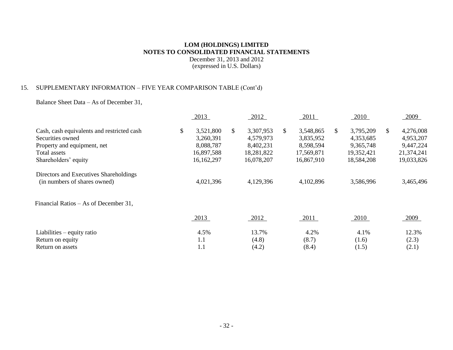December 31, 2013 and 2012 (expressed in U.S. Dollars)

## 15. SUPPLEMENTARY INFORMATION – FIVE YEAR COMPARISON TABLE (Cont'd)

Balance Sheet Data – As of December 31,

|                                            | 2013            | 2012            |              | 2011       |     | 2010       |    | 2009       |
|--------------------------------------------|-----------------|-----------------|--------------|------------|-----|------------|----|------------|
| Cash, cash equivalents and restricted cash | \$<br>3,521,800 | \$<br>3,307,953 | $\mathbb{S}$ | 3,548,865  | \$. | 3,795,209  | S. | 4,276,008  |
| Securities owned                           | 3,260,391       | 4,579,973       |              | 3,835,952  |     | 4,353,685  |    | 4,953,207  |
| Property and equipment, net                | 8,088,787       | 8,402,231       |              | 8,598,594  |     | 9,365,748  |    | 9,447,224  |
| Total assets                               | 16,897,588      | 18,281,822      |              | 17,569,871 |     | 19,352,421 |    | 21,374,241 |
| Shareholders' equity                       | 16,162,297      | 16,078,207      |              | 16,867,910 |     | 18,584,208 |    | 19,033,826 |
| Directors and Executives Shareholdings     |                 |                 |              |            |     |            |    |            |
| (in numbers of shares owned)               | 4,021,396       | 4,129,396       |              | 4,102,896  |     | 3,586,996  |    | 3,465,496  |
| Financial Ratios – As of December 31,      |                 |                 |              |            |     |            |    |            |
|                                            | 2013            | 2012            |              | 2011       |     | 2010       |    | 2009       |
| Liabilities $-$ equity ratio               | 4.5%            | 13.7%           |              | 4.2%       |     | 4.1%       |    | 12.3%      |
| Return on equity                           | 1.1             | (4.8)           |              | (8.7)      |     | (1.6)      |    | (2.3)      |
| Return on assets                           | 1.1             | (4.2)           |              | (8.4)      |     | (1.5)      |    | (2.1)      |